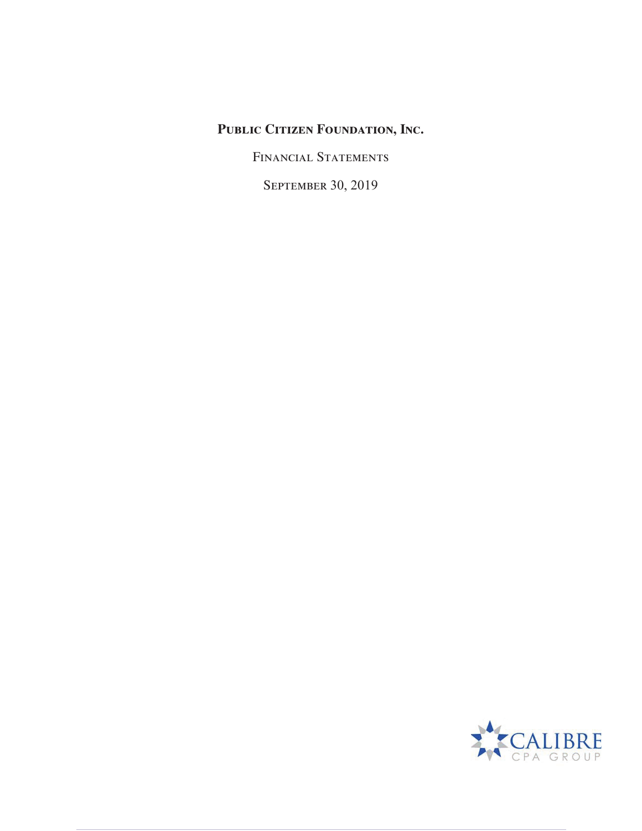FINANCIAL STATEMENTS

SEPTEMBER 30, 2019

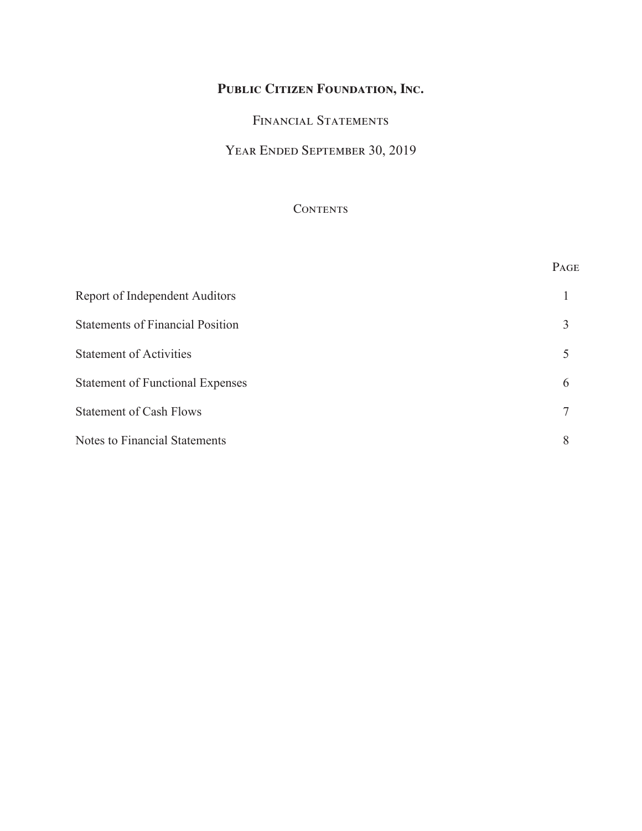# Financial Statements

# Year Ended September 30, 2019

# **CONTENTS**

|                                         | PAGE |
|-----------------------------------------|------|
| Report of Independent Auditors          |      |
| <b>Statements of Financial Position</b> | 3    |
| <b>Statement of Activities</b>          | 5    |
| <b>Statement of Functional Expenses</b> | 6    |
| <b>Statement of Cash Flows</b>          | 7    |
| <b>Notes to Financial Statements</b>    | 8    |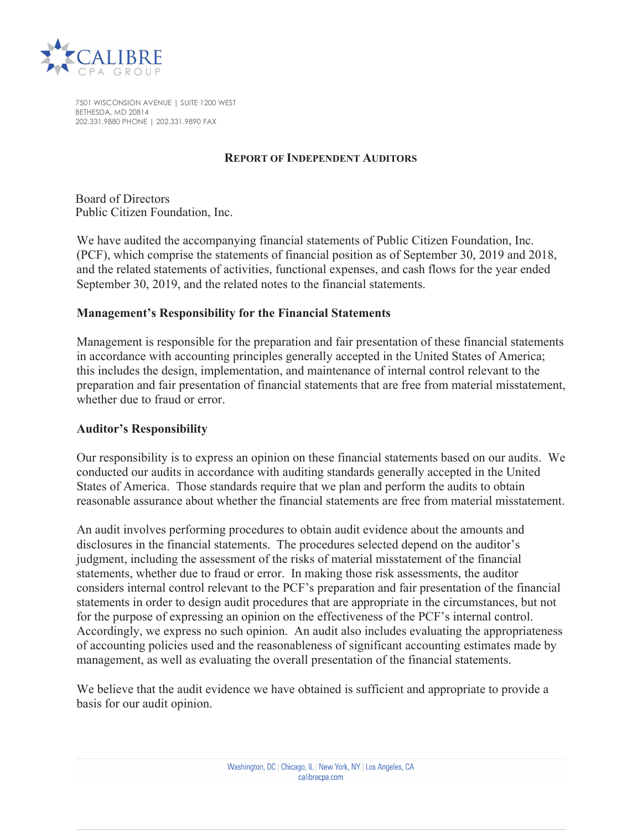

7501 WISCONSION AVENUE | SUITE 1200 WEST BETHESDA, MD 20814 202.331.9880 PHONE | 202.331.9890 FAX

#### **REPORT OF INDEPENDENT AUDITORS**

Board of Directors Public Citizen Foundation, Inc.

We have audited the accompanying financial statements of Public Citizen Foundation, Inc. (PCF), which comprise the statements of financial position as of September 30, 2019 and 2018, and the related statements of activities, functional expenses, and cash flows for the year ended September 30, 2019, and the related notes to the financial statements.

#### **Management's Responsibility for the Financial Statements**

Management is responsible for the preparation and fair presentation of these financial statements in accordance with accounting principles generally accepted in the United States of America; this includes the design, implementation, and maintenance of internal control relevant to the preparation and fair presentation of financial statements that are free from material misstatement, whether due to fraud or error.

#### **Auditor's Responsibility**

Our responsibility is to express an opinion on these financial statements based on our audits. We conducted our audits in accordance with auditing standards generally accepted in the United States of America. Those standards require that we plan and perform the audits to obtain reasonable assurance about whether the financial statements are free from material misstatement.

An audit involves performing procedures to obtain audit evidence about the amounts and disclosures in the financial statements. The procedures selected depend on the auditor's judgment, including the assessment of the risks of material misstatement of the financial statements, whether due to fraud or error. In making those risk assessments, the auditor considers internal control relevant to the PCF's preparation and fair presentation of the financial statements in order to design audit procedures that are appropriate in the circumstances, but not for the purpose of expressing an opinion on the effectiveness of the PCF's internal control. Accordingly, we express no such opinion. An audit also includes evaluating the appropriateness of accounting policies used and the reasonableness of significant accounting estimates made by management, as well as evaluating the overall presentation of the financial statements.

We believe that the audit evidence we have obtained is sufficient and appropriate to provide a basis for our audit opinion.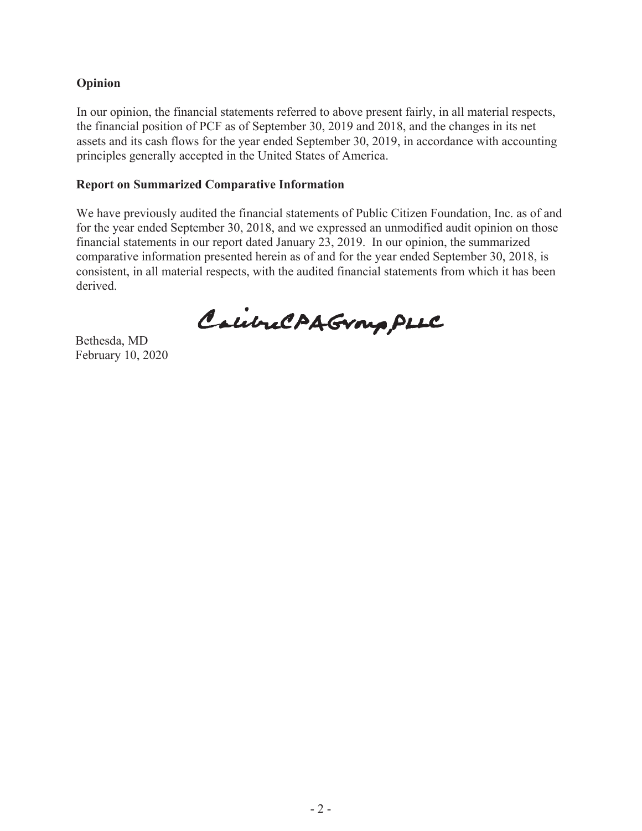# **Opinion**

In our opinion, the financial statements referred to above present fairly, in all material respects, the financial position of PCF as of September 30, 2019 and 2018, and the changes in its net assets and its cash flows for the year ended September 30, 2019, in accordance with accounting principles generally accepted in the United States of America.

# **Report on Summarized Comparative Information**

We have previously audited the financial statements of Public Citizen Foundation, Inc. as of and for the year ended September 30, 2018, and we expressed an unmodified audit opinion on those financial statements in our report dated January 23, 2019. In our opinion, the summarized comparative information presented herein as of and for the year ended September 30, 2018, is consistent, in all material respects, with the audited financial statements from which it has been derived.

CalibraCAAGroup PLLC

Bethesda, MD February 10, 2020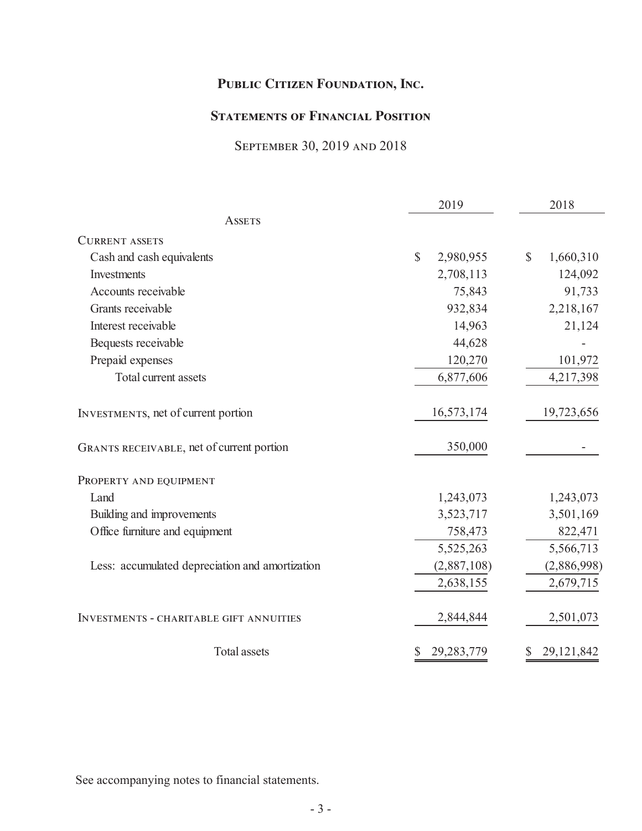# **STATEMENTS OF FINANCIAL POSITION**

# September 30, 2019 and 2018

|                                                 | 2019                      | 2018                      |
|-------------------------------------------------|---------------------------|---------------------------|
| <b>ASSETS</b>                                   |                           |                           |
| <b>CURRENT ASSETS</b>                           |                           |                           |
| Cash and cash equivalents                       | $\mathbb{S}$<br>2,980,955 | $\mathbb{S}$<br>1,660,310 |
| Investments                                     | 2,708,113                 | 124,092                   |
| Accounts receivable                             | 75,843                    | 91,733                    |
| Grants receivable                               | 932,834                   | 2,218,167                 |
| Interest receivable                             | 14,963                    | 21,124                    |
| Bequests receivable                             | 44,628                    |                           |
| Prepaid expenses                                | 120,270                   | 101,972                   |
| Total current assets                            | 6,877,606                 | 4,217,398                 |
| INVESTMENTS, net of current portion             | 16,573,174                | 19,723,656                |
| GRANTS RECEIVABLE, net of current portion       | 350,000                   |                           |
| PROPERTY AND EQUIPMENT                          |                           |                           |
| Land                                            | 1,243,073                 | 1,243,073                 |
| Building and improvements                       | 3,523,717                 | 3,501,169                 |
| Office furniture and equipment                  | 758,473                   | 822,471                   |
|                                                 | 5,525,263                 | 5,566,713                 |
| Less: accumulated depreciation and amortization | (2,887,108)               | (2,886,998)               |
|                                                 | 2,638,155                 | 2,679,715                 |
| <b>INVESTMENTS - CHARITABLE GIFT ANNUITIES</b>  | 2,844,844                 | 2,501,073                 |
| <b>Total assets</b>                             | \$<br>29,283,779          | \$<br>29,121,842          |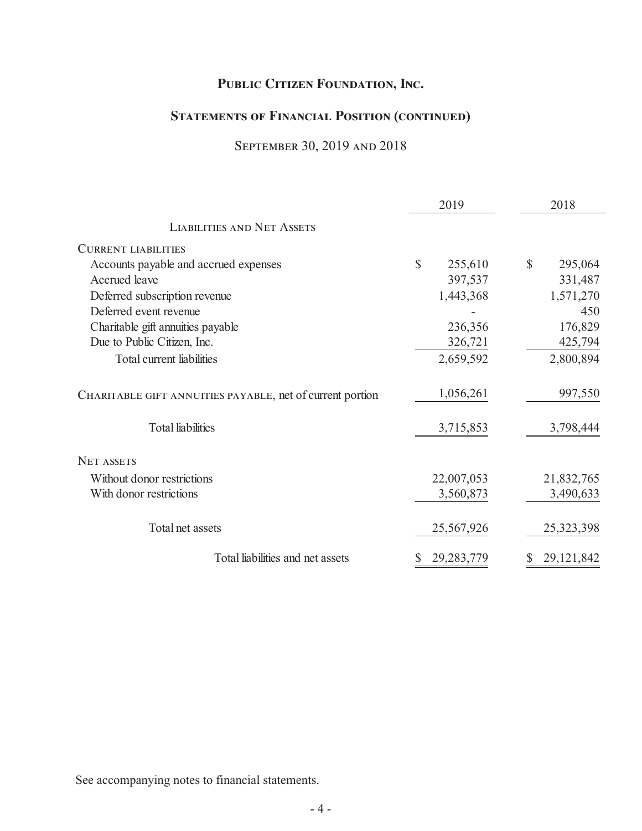# **Statements of Financial Position (continued)**

# September 30, 2019 and 2018

|                                                           |              | 2019         | 2018          |
|-----------------------------------------------------------|--------------|--------------|---------------|
| <b>LIABILITIES AND NET ASSETS</b>                         |              |              |               |
| <b>CURRENT LIABILITIES</b>                                |              |              |               |
| Accounts payable and accrued expenses                     | $\mathbb{S}$ | 255,610      | \$<br>295,064 |
| Accrued leave                                             |              | 397,537      | 331,487       |
| Deferred subscription revenue                             |              | 1,443,368    | 1,571,270     |
| Deferred event revenue                                    |              |              | 450           |
| Charitable gift annuities payable                         |              | 236,356      | 176,829       |
| Due to Public Citizen, Inc.                               |              | 326,721      | 425,794       |
| Total current liabilities                                 |              | 2,659,592    | 2,800,894     |
| CHARITABLE GIFT ANNUITIES PAYABLE, net of current portion |              | 1,056,261    | 997,550       |
| <b>Total liabilities</b>                                  |              | 3,715,853    | 3,798,444     |
| <b>NET ASSETS</b>                                         |              |              |               |
| Without donor restrictions                                |              | 22,007,053   | 21,832,765    |
| With donor restrictions                                   |              | 3,560,873    | 3,490,633     |
| Total net assets                                          |              | 25,567,926   | 25,323,398    |
| Total liabilities and net assets                          |              | 29, 283, 779 | 29, 121, 842  |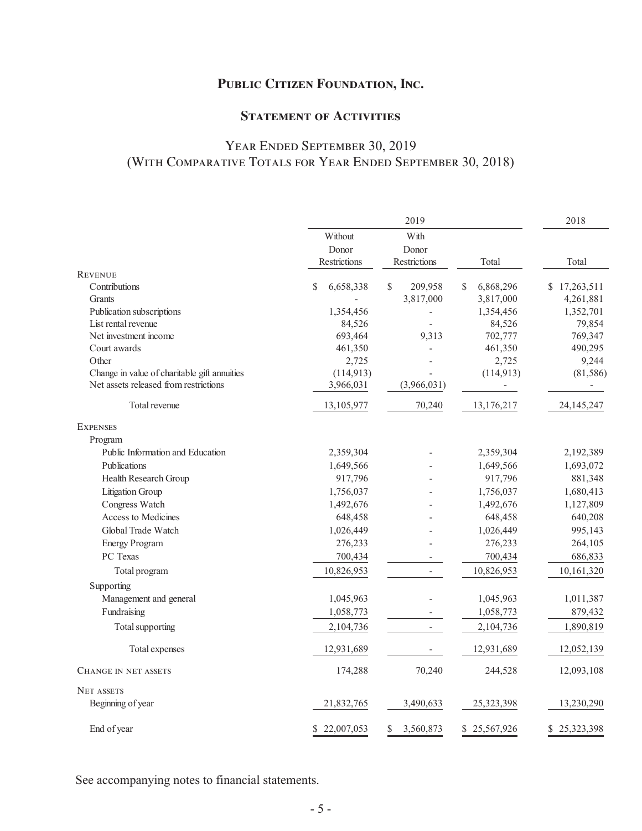# **STATEMENT OF ACTIVITIES**

# Year Ended September 30, 2019 (With Comparative Totals for Year Ended September 30, 2018)

|                                              |                     | 2019                     |                          | 2018                     |
|----------------------------------------------|---------------------|--------------------------|--------------------------|--------------------------|
|                                              | Without             | With                     |                          |                          |
|                                              | Donor               | Donor                    |                          |                          |
|                                              | <b>Restrictions</b> | <b>Restrictions</b>      | Total                    | Total                    |
| <b>REVENUE</b>                               |                     |                          |                          |                          |
| Contributions                                | 6,658,338<br>\$     | $\mathcal{S}$<br>209,958 | $\mathbf S$<br>6,868,296 | \$17,263,511             |
| Grants                                       |                     | 3,817,000                | 3,817,000                | 4,261,881                |
| Publication subscriptions                    | 1,354,456           |                          | 1,354,456                | 1,352,701                |
| List rental revenue                          | 84,526              |                          | 84,526                   | 79,854                   |
| Net investment income                        | 693,464             | 9,313                    | 702,777                  | 769,347                  |
| Court awards                                 | 461,350             |                          | 461,350                  | 490,295                  |
| Other                                        | 2,725               |                          | 2,725                    | 9,244                    |
| Change in value of charitable gift annuities | (114, 913)          |                          | (114, 913)               | (81, 586)                |
| Net assets released from restrictions        | 3,966,031           | (3,966,031)              | ÷                        | $\overline{\phantom{a}}$ |
| Total revenue                                | 13,105,977          | 70,240                   | 13,176,217               | 24, 145, 247             |
| <b>EXPENSES</b>                              |                     |                          |                          |                          |
| Program                                      |                     |                          |                          |                          |
| Public Information and Education             | 2,359,304           |                          | 2,359,304                | 2,192,389                |
| Publications                                 | 1,649,566           |                          | 1,649,566                | 1,693,072                |
| Health Research Group                        | 917,796             |                          | 917,796                  | 881,348                  |
| Litigation Group                             | 1,756,037           |                          | 1,756,037                | 1,680,413                |
| Congress Watch                               | 1,492,676           |                          | 1,492,676                | 1,127,809                |
| Access to Medicines                          | 648,458             |                          | 648,458                  | 640,208                  |
| Global Trade Watch                           | 1,026,449           |                          | 1,026,449                | 995,143                  |
| <b>Energy Program</b>                        | 276,233             |                          | 276,233                  | 264,105                  |
| PC Texas                                     | 700,434             |                          | 700,434                  | 686,833                  |
| Total program                                | 10,826,953          |                          | 10,826,953               | 10,161,320               |
| Supporting                                   |                     |                          |                          |                          |
| Management and general                       | 1,045,963           |                          | 1,045,963                | 1,011,387                |
| Fundraising                                  | 1,058,773           |                          | 1,058,773                | 879,432                  |
| Total supporting                             | 2,104,736           |                          | 2,104,736                | 1,890,819                |
|                                              |                     |                          |                          |                          |
| Total expenses                               | 12,931,689          |                          | 12,931,689               | 12,052,139               |
| <b>CHANGE IN NET ASSETS</b>                  | 174,288             | 70,240                   | 244,528                  | 12,093,108               |
| <b>NET ASSETS</b>                            |                     |                          |                          |                          |
| Beginning of year                            | 21,832,765          | 3,490,633                | 25,323,398               | 13,230,290               |
| End of year                                  | 22,007,053<br>\$    | 3,560,873<br>\$          | \$25,567,926             | \$25,323,398             |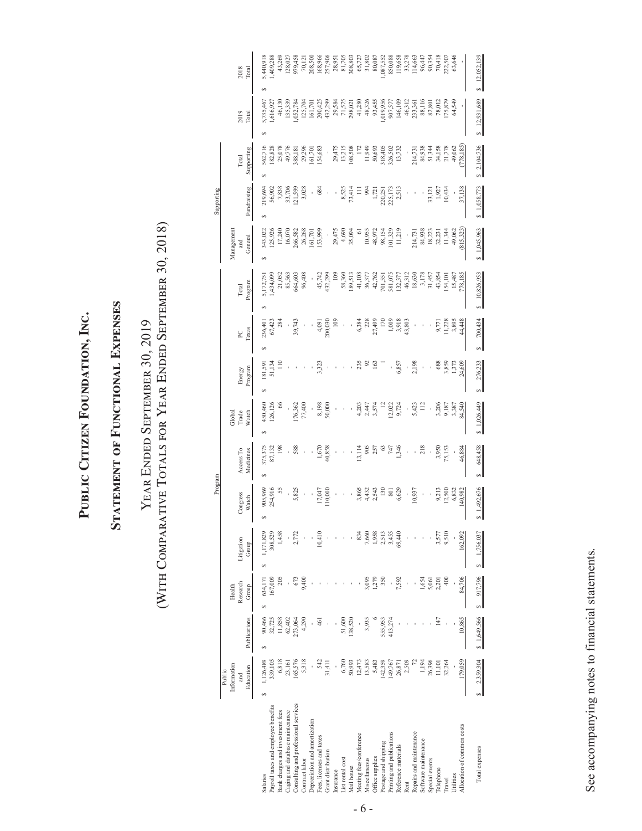**Public Citizen Foundation, Inc.**  PUBLIC CITIZEN FOUNDATION, INC.

# STATEMENT OF FUNCTIONAL EXPENSES **Statement of Functional Expenses**

# (WITH COMPARATIVE TOTALS FOR YEAR ENDED SEPTEMBER 30, 2018) (With Comparative Totals for Year Ended September 30, 2018) YEAR ENDED SEPTEMBER 30, 2019 Year Ended September 30, 2019

|                                      |                |                |          |            | Program         |            |                  |         |                |              |            | Supporting  |             |                             |                              |
|--------------------------------------|----------------|----------------|----------|------------|-----------------|------------|------------------|---------|----------------|--------------|------------|-------------|-------------|-----------------------------|------------------------------|
|                                      | Public         |                |          |            |                 |            |                  |         |                |              |            |             |             |                             |                              |
|                                      | Information    |                | Health   |            |                 |            | Global           |         |                |              | Managemen  |             |             |                             |                              |
|                                      | and            |                | Research | Litigation | Congress        | Access To  | Trade            | Energy  | RC             | Total        | and        |             | Total       | 2019                        | 2018                         |
|                                      | Education      | Publications   | Group    | Group      | Watch           | Medicines  | Watch            | Program | Texas          | Program      | General    | Fundraising | Supporting  | Total                       | Total                        |
| Salaries                             | 1,126,489<br>S | 90,466         | 634.171  | 1.171.829  | 905,969         | 375,375    | 450,460          | 181,591 | 236,401        | 5,172,75     | 343,022    | 219,694     | 562,716     | 5,735,46                    | 5,440,918                    |
| Payroll taxes and employee benefits  | 339,105        | 32,725         | 67,009   | 308,529    | 254,916         | 87,132     | 126,126          |         | 67,423         | ,434,09      | 25,92      |             | 182,828     | ,616,92                     | ,409,28                      |
| Bank charges and investment fees     | 6,818          | 11,858         | 205      | 1,458      |                 | <u>198</u> |                  |         | 284            | 21,052       | 17,240     | 56,902      | 25,078      | 46,130                      | 43,269                       |
| Caging and database maintenance      | 23,161         | 62,402         |          |            |                 |            |                  |         |                | 85,563       | 16,07      | 33,706      | 49,776      | 135,339                     | 128,02                       |
| Consulting and professional services | 165,576        | 173,064        | 673      |            | 5,82            |            |                  |         | 39,743         | 664,603      | 266,582    | 121,599     | 388,181     | ,052,784                    | 979,458                      |
| Contract labor                       | 5,318          | 4,290          | 9,400    |            |                 |            | 76,362<br>77,400 |         |                | 96,408       | 26,268     | 3,028       | 29,296      | 125,70                      | $70,12$                      |
| Depreciation and amortization        |                |                |          |            |                 |            |                  |         |                |              | 161,701    |             | 161,701     | 161,70                      | 208,500                      |
| Fees, licenses and taxes             | 542            | $\overline{6}$ |          | 0,410      | 17,047          | 1,670      |                  |         | 4,09           | 45,742       | 153,999    | 684         | 154,683     |                             |                              |
| Grant distribution                   | 31,411         |                |          |            | 10,000          | 40,858     | 8,198<br>50,000  |         | 200,030        | 432,299      |            |             |             | 200,425<br>432,299          | 168,966<br>257,906<br>28,951 |
| insurance                            |                |                |          |            |                 |            |                  |         | $\frac{8}{10}$ | 109          | 29,475     |             | 29,475      |                             |                              |
| List rental cost                     | 6,760          | 51,600         |          |            |                 |            |                  |         |                | 58,360       | 4,69       | 8,525       | 13,215      |                             | 81,705                       |
| Mail house                           | 50,993         | 138,520        |          |            |                 |            |                  |         |                | 189,513      | 35,094     | 73,41       | 108,508     | 29,584<br>71,575<br>298,021 |                              |
| Meeting fees/conference<br>6         | 12,473         |                |          | 834        | 3,865           | 13,114     | 4,20             |         | 6,384          | 41,108       |            |             |             | 41,280                      | 65,72                        |
| viscellaneous                        | 13,583         | 3,935          | \$,095   | 7,660      | 4,432           | 905        | 2,447            |         | 228            | 36,377       | 10,955     |             | 11,949      | 48,326<br>93,455            | 31,80                        |
| Office supplies                      | 5.483          |                | 279      | 1,958      | 2,543           |            | 3,57             |         | 27,499         | 42,762       | 48,972     | 1,72        | 50,693      |                             | 80,08                        |
| <b>Postage and shipping</b>          | 142,359        | 555,953        | 350      | 2,513      | $\frac{30}{2}$  |            |                  |         |                | 701,551      | 98,154     | 220,251     | 318,405     |                             | ,087,552                     |
| Printing and publications            | 149,767        | 413,274        |          | 3,455      | $\overline{80}$ |            | 12,022           |         | 1,005          | 581,075      | 101,329    | 225,173     | 326,502     | ,019,956<br>907,577         | 850,088                      |
| Reference materials                  | 26,871         |                | 7,592    | 69,440     | 6,629           | 1,346      | 9,724            | 6,857   | 3,918          | 132,377      | 11,219     | 2,51        | 13,732      | 146,109                     | 119,658                      |
| Rent                                 | 2,509          |                |          |            |                 |            |                  |         | 43,803         | 46,312       |            |             |             | 46,312                      | 33,27                        |
| Repairs and maintenance              |                |                |          |            | 10,937          |            | 5,423            | 2,198   |                | 18,630       | 214,731    |             | 214,731     | 233,361                     | 114,663                      |
| Software maintenance                 | 1,194          |                | 1,654    |            |                 | 218        | Ë                |         |                | 3,178        | 84,938     |             | 84,938      | 88,116                      | 96,44                        |
| Special events                       | 26,396         |                | 5,061    |            |                 |            |                  |         |                | 31,457       | 18,223     | 33,121      | 51,344      | 82,801                      | 90,35                        |
| <b>Telephone</b>                     | 11,101         | 147            | 2,201    | 3,577      | 9,213           | 3,950      | 3,206            | 688     | 9,771          | 43,854       | 32,231     | 1,927       | 34,158      | 78,012                      | 70,418                       |
| <b>Travel</b>                        | 32,264         |                | 400      | 9,510      | 12,500          | 75,153     | 9,187            | 3,859   | 11,228         | 154, 10      | 11,344     | 10,434      | 21,778      | 175,879                     | 222,50                       |
| <b>Utilities</b>                     |                |                |          |            | 6,832           |            | 3,387            | 1,37    | 3,895          | 15,487       | 49,062     |             | 49,062      | 64,549                      | 63,646                       |
| Allocation of common costs           | 179,059        | 10.865         | 84,706   | 162.092    | 40,982          | 46,884     | 84,540           | 24,609  | 44,448         | 778,185      | (815, 323) | 37,138      | (778, 185)  |                             |                              |
| Total expenses                       | 2,359,304      | \$1,649,566    | 917,796  | 1,756,037  | 1,492,676       | 648,458    | \$1,026,449      | 276,233 | 700,434        | \$10,826,953 | 1,045,963  | \$1,058,773 | \$2,104,736 | \$12,931,689                | $\frac{12,052,135}{2}$       |

See accompanying notes to financial statements. See accompanying notes to financial statements.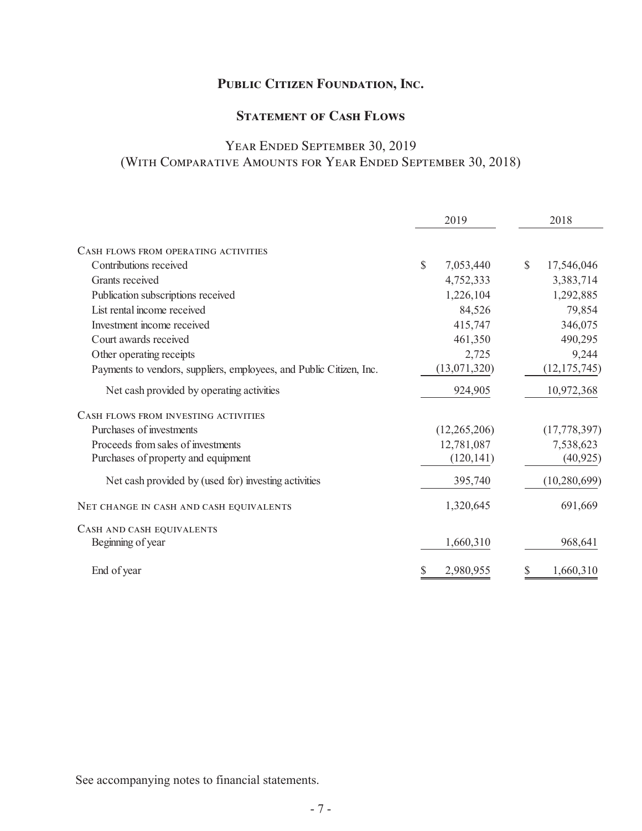# **STATEMENT OF CASH FLOWS**

# Year Ended September 30, 2019 (With Comparative Amounts for Year Ended September 30, 2018)

|                                                                     | 2019                      | 2018                        |
|---------------------------------------------------------------------|---------------------------|-----------------------------|
| CASH FLOWS FROM OPERATING ACTIVITIES                                |                           |                             |
| Contributions received                                              | $\mathbb{S}$<br>7,053,440 | $\mathcal{S}$<br>17,546,046 |
| Grants received                                                     | 4,752,333                 | 3,383,714                   |
| Publication subscriptions received                                  | 1,226,104                 | 1,292,885                   |
| List rental income received                                         | 84,526                    | 79,854                      |
| Investment income received                                          | 415,747                   | 346,075                     |
| Court awards received                                               | 461,350                   | 490,295                     |
| Other operating receipts                                            | 2,725                     | 9,244                       |
| Payments to vendors, suppliers, employees, and Public Citizen, Inc. | (13,071,320)              | (12, 175, 745)              |
| Net cash provided by operating activities                           | 924,905                   | 10,972,368                  |
| CASH FLOWS FROM INVESTING ACTIVITIES                                |                           |                             |
| Purchases of investments                                            | (12,265,206)              | (17, 778, 397)              |
| Proceeds from sales of investments                                  | 12,781,087                | 7,538,623                   |
| Purchases of property and equipment                                 | (120, 141)                | (40, 925)                   |
| Net cash provided by (used for) investing activities                | 395,740                   | (10, 280, 699)              |
| NET CHANGE IN CASH AND CASH EQUIVALENTS                             | 1,320,645                 | 691,669                     |
| CASH AND CASH EQUIVALENTS                                           |                           |                             |
| Beginning of year                                                   | 1,660,310                 | 968,641                     |
| End of year                                                         | 2,980,955<br>\$           | 1,660,310                   |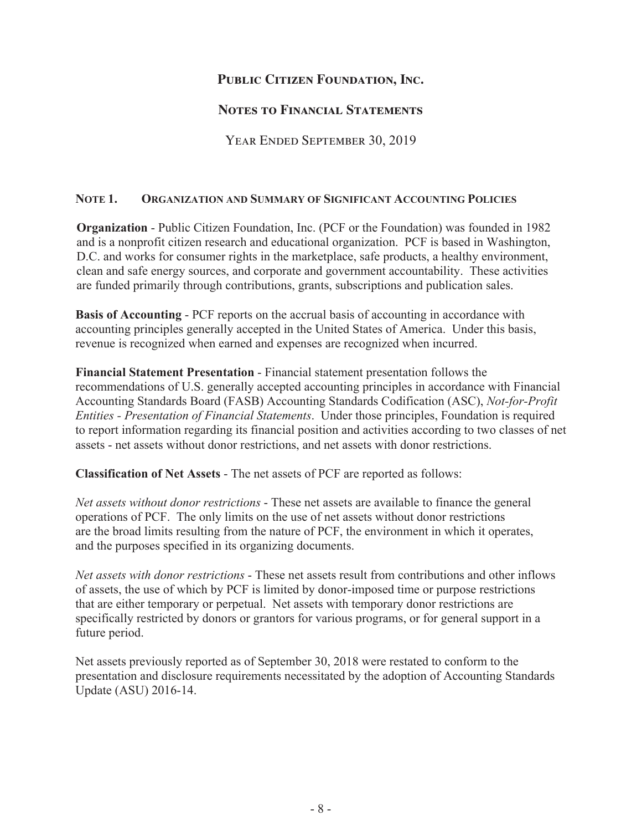# **Notes to Financial Statements**

YEAR ENDED SEPTEMBER 30, 2019

# **NOTE 1. ORGANIZATION AND SUMMARY OF SIGNIFICANT ACCOUNTING POLICIES**

**Organization** - Public Citizen Foundation, Inc. (PCF or the Foundation) was founded in 1982 and is a nonprofit citizen research and educational organization. PCF is based in Washington, D.C. and works for consumer rights in the marketplace, safe products, a healthy environment, clean and safe energy sources, and corporate and government accountability. These activities are funded primarily through contributions, grants, subscriptions and publication sales.

**Basis of Accounting** - PCF reports on the accrual basis of accounting in accordance with accounting principles generally accepted in the United States of America. Under this basis, revenue is recognized when earned and expenses are recognized when incurred.

**Financial Statement Presentation** - Financial statement presentation follows the recommendations of U.S. generally accepted accounting principles in accordance with Financial Accounting Standards Board (FASB) Accounting Standards Codification (ASC), *Not-for-Profit Entities - Presentation of Financial Statements*. Under those principles, Foundation is required to report information regarding its financial position and activities according to two classes of net assets - net assets without donor restrictions, and net assets with donor restrictions.

**Classification of Net Assets** - The net assets of PCF are reported as follows:

*Net assets without donor restrictions* - These net assets are available to finance the general operations of PCF. The only limits on the use of net assets without donor restrictions are the broad limits resulting from the nature of PCF, the environment in which it operates, and the purposes specified in its organizing documents.

*Net assets with donor restrictions* - These net assets result from contributions and other inflows of assets, the use of which by PCF is limited by donor-imposed time or purpose restrictions that are either temporary or perpetual. Net assets with temporary donor restrictions are specifically restricted by donors or grantors for various programs, or for general support in a future period.

Net assets previously reported as of September 30, 2018 were restated to conform to the presentation and disclosure requirements necessitated by the adoption of Accounting Standards Update (ASU) 2016-14.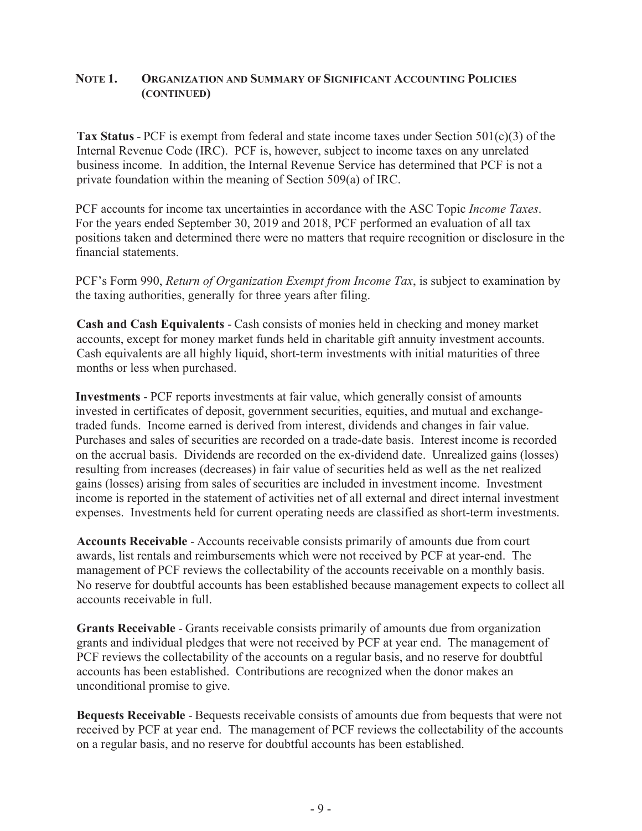#### **NOTE 1. ORGANIZATION AND SUMMARY OF SIGNIFICANT ACCOUNTING POLICIES (CONTINUED)**

**Tax Status** - PCF is exempt from federal and state income taxes under Section 501(c)(3) of the Internal Revenue Code (IRC). PCF is, however, subject to income taxes on any unrelated business income. In addition, the Internal Revenue Service has determined that PCF is not a private foundation within the meaning of Section 509(a) of IRC.

PCF accounts for income tax uncertainties in accordance with the ASC Topic *Income Taxes*. For the years ended September 30, 2019 and 2018, PCF performed an evaluation of all tax positions taken and determined there were no matters that require recognition or disclosure in the financial statements.

PCF's Form 990, *Return of Organization Exempt from Income Tax*, is subject to examination by the taxing authorities, generally for three years after filing.

**Cash and Cash Equivalents** - Cash consists of monies held in checking and money market accounts, except for money market funds held in charitable gift annuity investment accounts. Cash equivalents are all highly liquid, short-term investments with initial maturities of three months or less when purchased.

**Investments** - PCF reports investments at fair value, which generally consist of amounts invested in certificates of deposit, government securities, equities, and mutual and exchangetraded funds. Income earned is derived from interest, dividends and changes in fair value. Purchases and sales of securities are recorded on a trade-date basis. Interest income is recorded on the accrual basis. Dividends are recorded on the ex-dividend date. Unrealized gains (losses) resulting from increases (decreases) in fair value of securities held as well as the net realized gains (losses) arising from sales of securities are included in investment income. Investment income is reported in the statement of activities net of all external and direct internal investment expenses. Investments held for current operating needs are classified as short-term investments.

**Accounts Receivable** - Accounts receivable consists primarily of amounts due from court awards, list rentals and reimbursements which were not received by PCF at year-end. The management of PCF reviews the collectability of the accounts receivable on a monthly basis. No reserve for doubtful accounts has been established because management expects to collect all accounts receivable in full.

**Grants Receivable** - Grants receivable consists primarily of amounts due from organization grants and individual pledges that were not received by PCF at year end. The management of PCF reviews the collectability of the accounts on a regular basis, and no reserve for doubtful accounts has been established. Contributions are recognized when the donor makes an unconditional promise to give.

**Bequests Receivable** - Bequests receivable consists of amounts due from bequests that were not received by PCF at year end. The management of PCF reviews the collectability of the accounts on a regular basis, and no reserve for doubtful accounts has been established.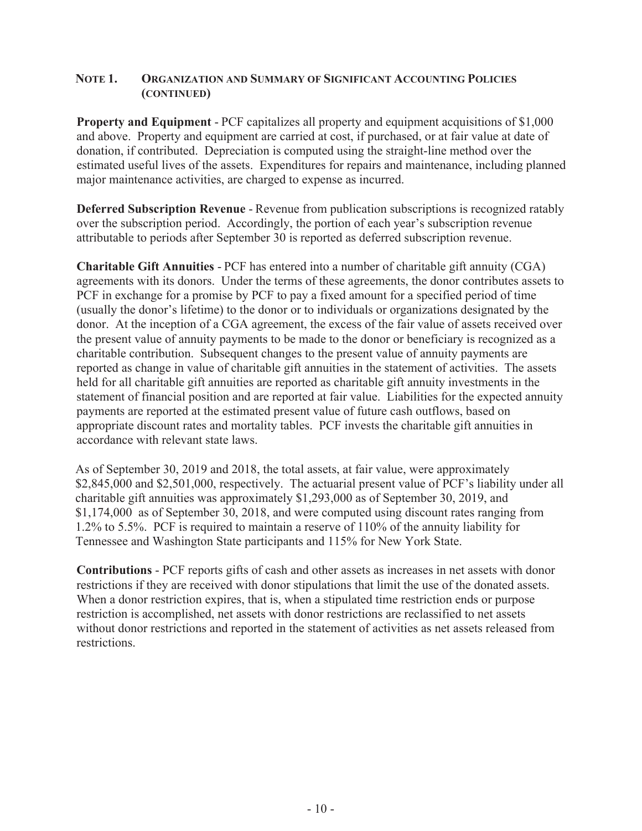#### **NOTE 1. ORGANIZATION AND SUMMARY OF SIGNIFICANT ACCOUNTING POLICIES (CONTINUED)**

**Property and Equipment** - PCF capitalizes all property and equipment acquisitions of \$1,000 and above. Property and equipment are carried at cost, if purchased, or at fair value at date of donation, if contributed. Depreciation is computed using the straight-line method over the estimated useful lives of the assets. Expenditures for repairs and maintenance, including planned major maintenance activities, are charged to expense as incurred.

**Deferred Subscription Revenue** - Revenue from publication subscriptions is recognized ratably over the subscription period. Accordingly, the portion of each year's subscription revenue attributable to periods after September 30 is reported as deferred subscription revenue.

**Charitable Gift Annuities** - PCF has entered into a number of charitable gift annuity (CGA) agreements with its donors. Under the terms of these agreements, the donor contributes assets to PCF in exchange for a promise by PCF to pay a fixed amount for a specified period of time (usually the donor's lifetime) to the donor or to individuals or organizations designated by the donor. At the inception of a CGA agreement, the excess of the fair value of assets received over the present value of annuity payments to be made to the donor or beneficiary is recognized as a charitable contribution. Subsequent changes to the present value of annuity payments are reported as change in value of charitable gift annuities in the statement of activities. The assets held for all charitable gift annuities are reported as charitable gift annuity investments in the statement of financial position and are reported at fair value. Liabilities for the expected annuity payments are reported at the estimated present value of future cash outflows, based on appropriate discount rates and mortality tables. PCF invests the charitable gift annuities in accordance with relevant state laws.

As of September 30, 2019 and 2018, the total assets, at fair value, were approximately \$2,845,000 and \$2,501,000, respectively. The actuarial present value of PCF's liability under all charitable gift annuities was approximately \$1,293,000 as of September 30, 2019, and \$1,174,000 as of September 30, 2018, and were computed using discount rates ranging from 1.2% to 5.5%. PCF is required to maintain a reserve of 110% of the annuity liability for Tennessee and Washington State participants and 115% for New York State.

**Contributions** - PCF reports gifts of cash and other assets as increases in net assets with donor restrictions if they are received with donor stipulations that limit the use of the donated assets. When a donor restriction expires, that is, when a stipulated time restriction ends or purpose restriction is accomplished, net assets with donor restrictions are reclassified to net assets without donor restrictions and reported in the statement of activities as net assets released from restrictions.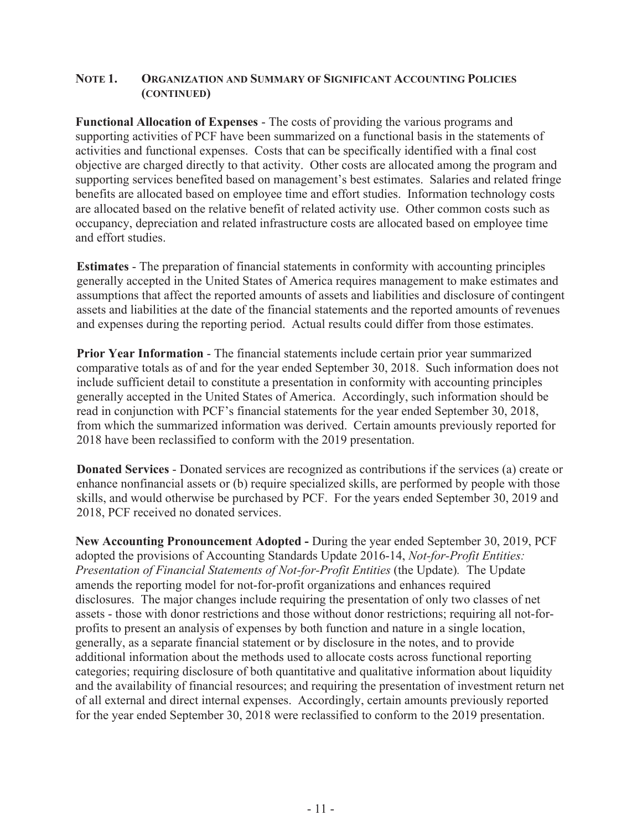#### **NOTE 1. ORGANIZATION AND SUMMARY OF SIGNIFICANT ACCOUNTING POLICIES (CONTINUED)**

**Functional Allocation of Expenses** - The costs of providing the various programs and supporting activities of PCF have been summarized on a functional basis in the statements of activities and functional expenses. Costs that can be specifically identified with a final cost objective are charged directly to that activity. Other costs are allocated among the program and supporting services benefited based on management's best estimates. Salaries and related fringe benefits are allocated based on employee time and effort studies. Information technology costs are allocated based on the relative benefit of related activity use. Other common costs such as occupancy, depreciation and related infrastructure costs are allocated based on employee time and effort studies.

**Estimates** - The preparation of financial statements in conformity with accounting principles generally accepted in the United States of America requires management to make estimates and assumptions that affect the reported amounts of assets and liabilities and disclosure of contingent assets and liabilities at the date of the financial statements and the reported amounts of revenues and expenses during the reporting period. Actual results could differ from those estimates.

**Prior Year Information** - The financial statements include certain prior year summarized comparative totals as of and for the year ended September 30, 2018. Such information does not include sufficient detail to constitute a presentation in conformity with accounting principles generally accepted in the United States of America. Accordingly, such information should be read in conjunction with PCF's financial statements for the year ended September 30, 2018, from which the summarized information was derived. Certain amounts previously reported for 2018 have been reclassified to conform with the 2019 presentation.

**Donated Services** - Donated services are recognized as contributions if the services (a) create or enhance nonfinancial assets or (b) require specialized skills, are performed by people with those skills, and would otherwise be purchased by PCF. For the years ended September 30, 2019 and 2018, PCF received no donated services.

**New Accounting Pronouncement Adopted -** During the year ended September 30, 2019, PCF adopted the provisions of Accounting Standards Update 2016-14, *Not-for-Profit Entities: Presentation of Financial Statements of Not-for-Profit Entities (the Update).* The Update amends the reporting model for not-for-profit organizations and enhances required disclosures. The major changes include requiring the presentation of only two classes of net assets - those with donor restrictions and those without donor restrictions; requiring all not-forprofits to present an analysis of expenses by both function and nature in a single location, generally, as a separate financial statement or by disclosure in the notes, and to provide additional information about the methods used to allocate costs across functional reporting categories; requiring disclosure of both quantitative and qualitative information about liquidity and the availability of financial resources; and requiring the presentation of investment return net of all external and direct internal expenses. Accordingly, certain amounts previously reported for the year ended September 30, 2018 were reclassified to conform to the 2019 presentation.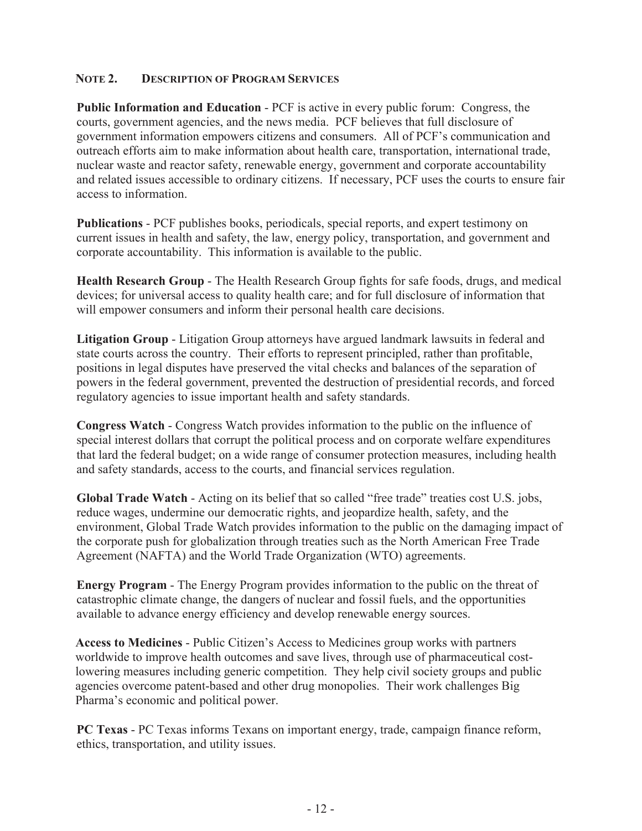# **NOTE 2. DESCRIPTION OF PROGRAM SERVICES**

**Public Information and Education** - PCF is active in every public forum: Congress, the courts, government agencies, and the news media. PCF believes that full disclosure of government information empowers citizens and consumers. All of PCF's communication and outreach efforts aim to make information about health care, transportation, international trade, nuclear waste and reactor safety, renewable energy, government and corporate accountability and related issues accessible to ordinary citizens. If necessary, PCF uses the courts to ensure fair access to information.

**Publications** - PCF publishes books, periodicals, special reports, and expert testimony on current issues in health and safety, the law, energy policy, transportation, and government and corporate accountability. This information is available to the public.

**Health Research Group** - The Health Research Group fights for safe foods, drugs, and medical devices; for universal access to quality health care; and for full disclosure of information that will empower consumers and inform their personal health care decisions.

**Litigation Group** - Litigation Group attorneys have argued landmark lawsuits in federal and state courts across the country. Their efforts to represent principled, rather than profitable, positions in legal disputes have preserved the vital checks and balances of the separation of powers in the federal government, prevented the destruction of presidential records, and forced regulatory agencies to issue important health and safety standards.

**Congress Watch** - Congress Watch provides information to the public on the influence of special interest dollars that corrupt the political process and on corporate welfare expenditures that lard the federal budget; on a wide range of consumer protection measures, including health and safety standards, access to the courts, and financial services regulation.

**Global Trade Watch** - Acting on its belief that so called "free trade" treaties cost U.S. jobs, reduce wages, undermine our democratic rights, and jeopardize health, safety, and the environment, Global Trade Watch provides information to the public on the damaging impact of the corporate push for globalization through treaties such as the North American Free Trade Agreement (NAFTA) and the World Trade Organization (WTO) agreements.

**Energy Program** - The Energy Program provides information to the public on the threat of catastrophic climate change, the dangers of nuclear and fossil fuels, and the opportunities available to advance energy efficiency and develop renewable energy sources.

**Access to Medicines** - Public Citizen's Access to Medicines group works with partners worldwide to improve health outcomes and save lives, through use of pharmaceutical costlowering measures including generic competition. They help civil society groups and public agencies overcome patent-based and other drug monopolies. Their work challenges Big Pharma's economic and political power.

**PC Texas** - PC Texas informs Texans on important energy, trade, campaign finance reform, ethics, transportation, and utility issues.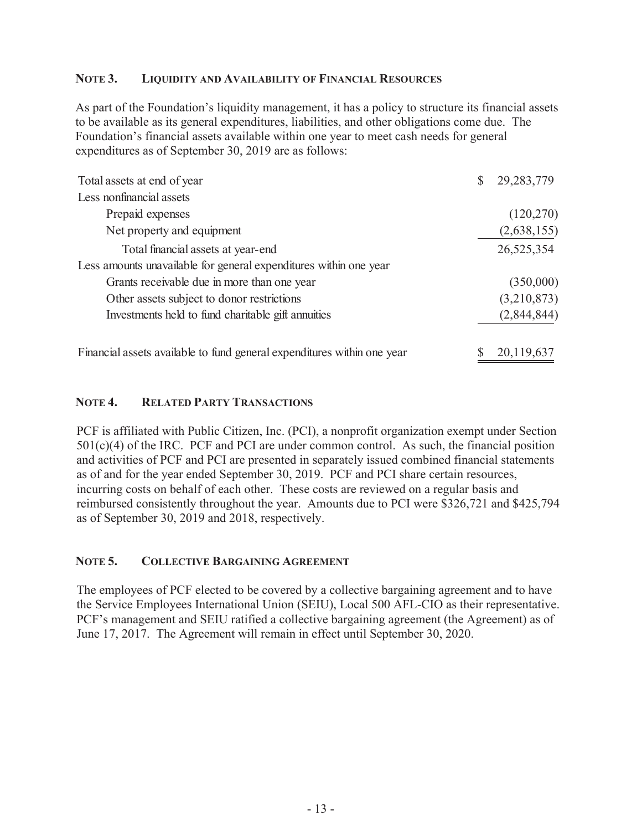# **NOTE 3. LIQUIDITY AND AVAILABILITY OF FINANCIAL RESOURCES**

As part of the Foundation's liquidity management, it has a policy to structure its financial assets to be available as its general expenditures, liabilities, and other obligations come due. The Foundation's financial assets available within one year to meet cash needs for general expenditures as of September 30, 2019 are as follows:

| Total assets at end of year                                             | 29, 283, 779 |
|-------------------------------------------------------------------------|--------------|
| Less nonfinancial assets                                                |              |
| Prepaid expenses                                                        | (120, 270)   |
| Net property and equipment                                              | (2,638,155)  |
| Total financial assets at year-end                                      | 26,525,354   |
| Less amounts unavailable for general expenditures within one year       |              |
| Grants receivable due in more than one year                             | (350,000)    |
| Other assets subject to donor restrictions                              | (3,210,873)  |
| Investments held to fund charitable gift annuities                      | (2,844,844)  |
| Financial assets available to fund general expenditures within one year | 20,119,637   |

# **NOTE 4. RELATED PARTY TRANSACTIONS**

PCF is affiliated with Public Citizen, Inc. (PCI), a nonprofit organization exempt under Section 501(c)(4) of the IRC. PCF and PCI are under common control. As such, the financial position and activities of PCF and PCI are presented in separately issued combined financial statements as of and for the year ended September 30, 2019. PCF and PCI share certain resources, incurring costs on behalf of each other. These costs are reviewed on a regular basis and reimbursed consistently throughout the year. Amounts due to PCI were \$326,721 and \$425,794 as of September 30, 2019 and 2018, respectively.

#### **NOTE 5. COLLECTIVE BARGAINING AGREEMENT**

The employees of PCF elected to be covered by a collective bargaining agreement and to have the Service Employees International Union (SEIU), Local 500 AFL-CIO as their representative. PCF's management and SEIU ratified a collective bargaining agreement (the Agreement) as of June 17, 2017. The Agreement will remain in effect until September 30, 2020.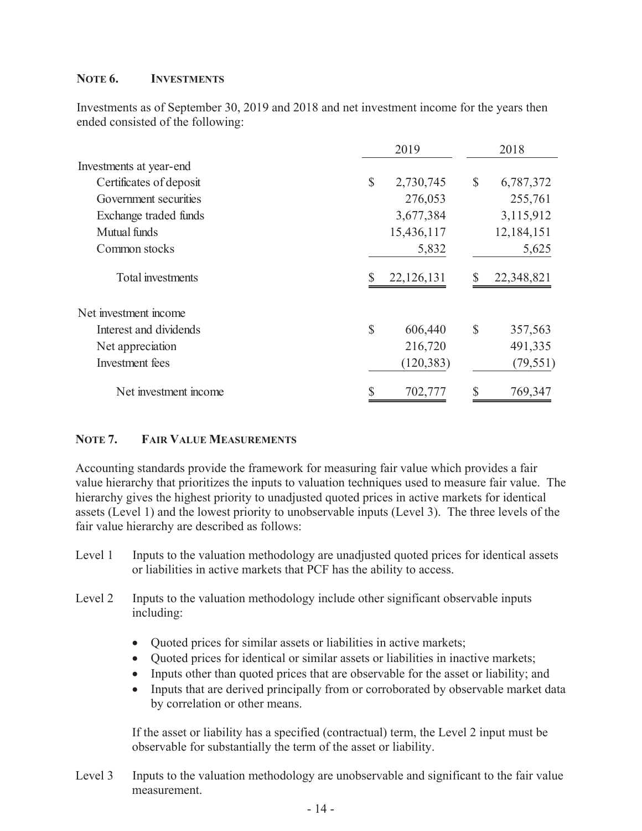## **NOTE 6. INVESTMENTS**

Investments as of September 30, 2019 and 2018 and net investment income for the years then ended consisted of the following:

|                         | 2019          |            |              | 2018       |
|-------------------------|---------------|------------|--------------|------------|
| Investments at year-end |               |            |              |            |
| Certificates of deposit | \$            | 2,730,745  | \$           | 6,787,372  |
| Government securities   |               | 276,053    |              | 255,761    |
| Exchange traded funds   |               | 3,677,384  |              | 3,115,912  |
| Mutual funds            |               | 15,436,117 |              | 12,184,151 |
| Common stocks           |               | 5,832      |              | 5,625      |
| Total investments       |               | 22,126,131 |              | 22,348,821 |
| Net investment income   |               |            |              |            |
| Interest and dividends  | $\mathcal{S}$ | 606,440    | $\mathbb{S}$ | 357,563    |
| Net appreciation        |               | 216,720    |              | 491,335    |
| Investment fees         |               | (120, 383) |              | (79, 551)  |
| Net investment income   |               | 702,777    |              | 769,347    |

#### **NOTE 7. FAIR VALUE MEASUREMENTS**

Accounting standards provide the framework for measuring fair value which provides a fair value hierarchy that prioritizes the inputs to valuation techniques used to measure fair value. The hierarchy gives the highest priority to unadjusted quoted prices in active markets for identical assets (Level 1) and the lowest priority to unobservable inputs (Level 3). The three levels of the fair value hierarchy are described as follows:

- Level 1 Inputs to the valuation methodology are unadjusted quoted prices for identical assets or liabilities in active markets that PCF has the ability to access.
- Level 2 Inputs to the valuation methodology include other significant observable inputs including:
	- Quoted prices for similar assets or liabilities in active markets;
	- Quoted prices for identical or similar assets or liabilities in inactive markets;
	- Inputs other than quoted prices that are observable for the asset or liability; and
	- Inputs that are derived principally from or corroborated by observable market data by correlation or other means.

If the asset or liability has a specified (contractual) term, the Level 2 input must be observable for substantially the term of the asset or liability.

Level 3 Inputs to the valuation methodology are unobservable and significant to the fair value measurement.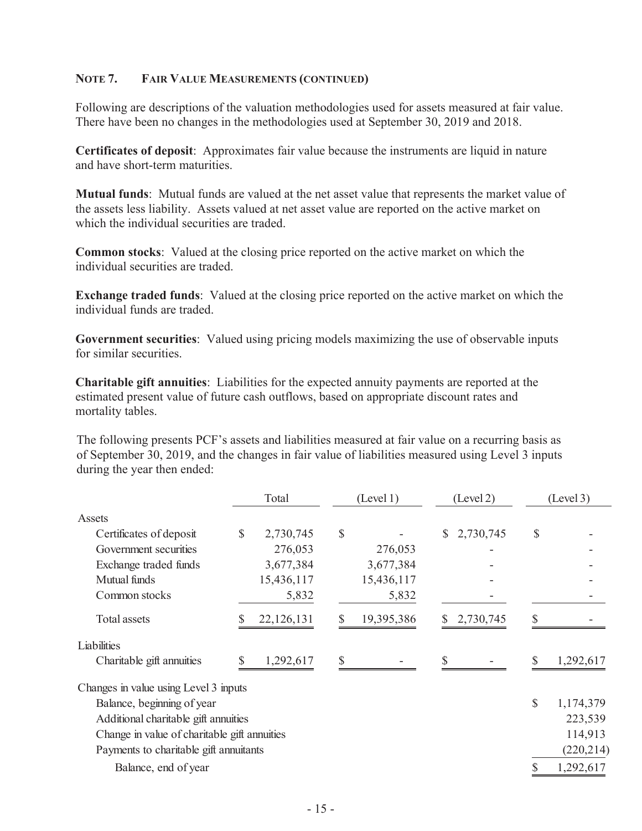#### **NOTE 7. FAIR VALUE MEASUREMENTS (CONTINUED)**

Following are descriptions of the valuation methodologies used for assets measured at fair value. There have been no changes in the methodologies used at September 30, 2019 and 2018.

**Certificates of deposit**: Approximates fair value because the instruments are liquid in nature and have short-term maturities.

**Mutual funds**: Mutual funds are valued at the net asset value that represents the market value of the assets less liability. Assets valued at net asset value are reported on the active market on which the individual securities are traded.

**Common stocks**: Valued at the closing price reported on the active market on which the individual securities are traded.

**Exchange traded funds**: Valued at the closing price reported on the active market on which the individual funds are traded.

**Government securities**: Valued using pricing models maximizing the use of observable inputs for similar securities.

**Charitable gift annuities**: Liabilities for the expected annuity payments are reported at the estimated present value of future cash outflows, based on appropriate discount rates and mortality tables.

The following presents PCF's assets and liabilities measured at fair value on a recurring basis as of September 30, 2019, and the changes in fair value of liabilities measured using Level 3 inputs during the year then ended:

|                                              |              | Total      |    | (Level 1)  |              | (Level 2) |               | (Level 3)  |
|----------------------------------------------|--------------|------------|----|------------|--------------|-----------|---------------|------------|
| Assets                                       |              |            |    |            |              |           |               |            |
| Certificates of deposit                      | <sup>S</sup> | 2,730,745  | \$ |            | $\mathbb{S}$ | 2,730,745 | \$            |            |
| Government securities                        |              | 276,053    |    | 276,053    |              |           |               |            |
| Exchange traded funds                        |              | 3,677,384  |    | 3,677,384  |              |           |               |            |
| Mutual funds                                 |              | 15,436,117 |    | 15,436,117 |              |           |               |            |
| Common stocks                                |              | 5,832      |    | 5,832      |              |           |               |            |
| <b>Total assets</b>                          |              | 22,126,131 | \$ | 19,395,386 | \$           | 2,730,745 |               |            |
| Liabilities                                  |              |            |    |            |              |           |               |            |
| Charitable gift annuities                    |              | 1,292,617  | S  |            | S            |           | S             | 1,292,617  |
| Changes in value using Level 3 inputs        |              |            |    |            |              |           |               |            |
| Balance, beginning of year                   |              |            |    |            |              |           | $\mathcal{S}$ | 1,174,379  |
| Additional charitable gift annuities         |              |            |    |            |              |           |               | 223,539    |
| Change in value of charitable gift annuities |              |            |    |            |              |           |               | 114,913    |
| Payments to charitable gift annuitants       |              |            |    |            |              |           |               | (220, 214) |
| Balance, end of year                         |              |            |    |            |              |           |               | 1,292,617  |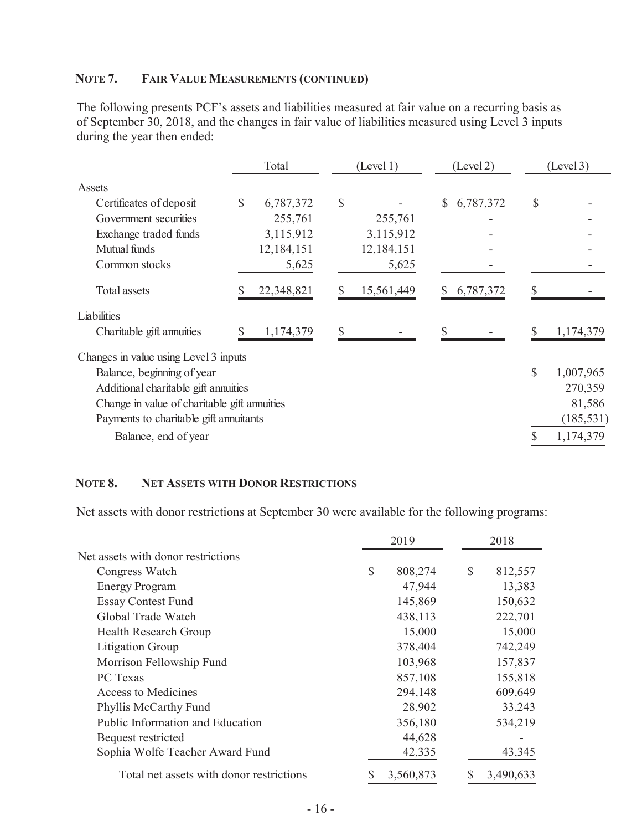# **NOTE 7. FAIR VALUE MEASUREMENTS (CONTINUED)**

The following presents PCF's assets and liabilities measured at fair value on a recurring basis as of September 30, 2018, and the changes in fair value of liabilities measured using Level 3 inputs during the year then ended:

|                                              | Total           | (Level 1)  | (Level 2)       |    | (Level 3)  |
|----------------------------------------------|-----------------|------------|-----------------|----|------------|
| Assets                                       |                 |            |                 |    |            |
| Certificates of deposit                      | \$<br>6,787,372 | \$         | \$<br>6,787,372 | \$ |            |
| Government securities                        | 255,761         | 255,761    |                 |    |            |
| Exchange traded funds                        | 3,115,912       | 3,115,912  |                 |    |            |
| Mutual funds                                 | 12,184,151      | 12,184,151 |                 |    |            |
| Common stocks                                | 5,625           | 5,625      |                 |    |            |
| Total assets                                 | 22,348,821      | 15,561,449 | 6,787,372       | S  |            |
| Liabilities                                  |                 |            |                 |    |            |
| Charitable gift annuities                    | 1,174,379       |            |                 | \$ | 1,174,379  |
| Changes in value using Level 3 inputs        |                 |            |                 |    |            |
| Balance, beginning of year                   |                 |            |                 | \$ | 1,007,965  |
| Additional charitable gift annuities         |                 |            |                 |    | 270,359    |
| Change in value of charitable gift annuities |                 |            |                 |    | 81,586     |
| Payments to charitable gift annuitants       |                 |            |                 |    | (185, 531) |
| Balance, end of year                         |                 |            |                 |    | 1,174,379  |

#### **NOTE 8. NET ASSETS WITH DONOR RESTRICTIONS**

Net assets with donor restrictions at September 30 were available for the following programs:

|                                          | 2019                     | 2018          |
|------------------------------------------|--------------------------|---------------|
| Net assets with donor restrictions       |                          |               |
| Congress Watch                           | $\mathcal{S}$<br>808,274 | \$<br>812,557 |
| <b>Energy Program</b>                    | 47,944                   | 13,383        |
| <b>Essay Contest Fund</b>                | 145,869                  | 150,632       |
| Global Trade Watch                       | 438,113                  | 222,701       |
| <b>Health Research Group</b>             | 15,000                   | 15,000        |
| Litigation Group                         | 378,404                  | 742,249       |
| Morrison Fellowship Fund                 | 103,968                  | 157,837       |
| PC Texas                                 | 857,108                  | 155,818       |
| <b>Access to Medicines</b>               | 294,148                  | 609,649       |
| Phyllis McCarthy Fund                    | 28,902                   | 33,243        |
| Public Information and Education         | 356,180                  | 534,219       |
| Bequest restricted                       | 44,628                   |               |
| Sophia Wolfe Teacher Award Fund          | 42,335                   | 43,345        |
| Total net assets with donor restrictions | 3,560,873                | 3,490,633     |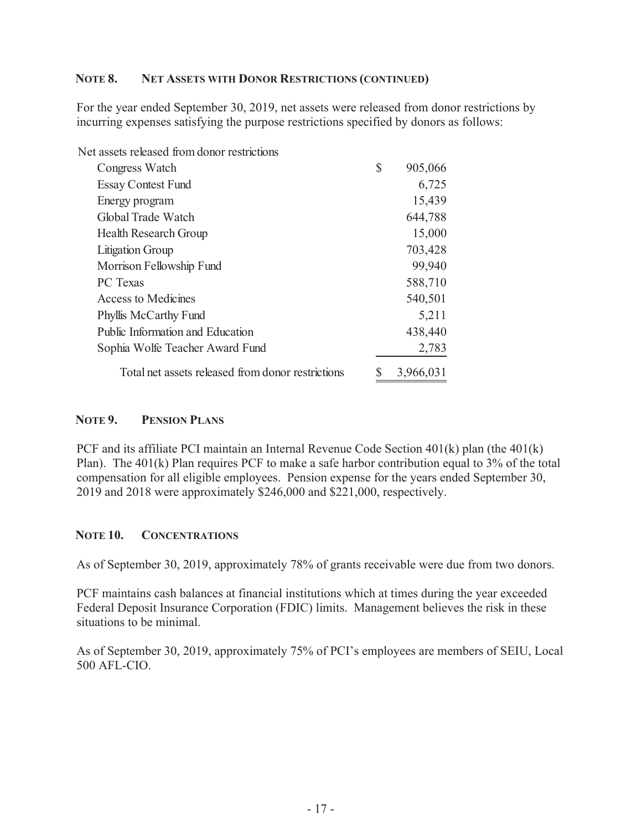#### **NOTE 8. NET ASSETS WITH DONOR RESTRICTIONS (CONTINUED)**

For the year ended September 30, 2019, net assets were released from donor restrictions by incurring expenses satisfying the purpose restrictions specified by donors as follows:

| Net assets released from donor restrictions       |               |
|---------------------------------------------------|---------------|
| Congress Watch                                    | \$<br>905,066 |
| <b>Essay Contest Fund</b>                         | 6,725         |
| Energy program                                    | 15,439        |
| Global Trade Watch                                | 644,788       |
| <b>Health Research Group</b>                      | 15,000        |
| <b>Litigation Group</b>                           | 703,428       |
| Morrison Fellowship Fund                          | 99,940        |
| <b>PC</b> Texas                                   | 588,710       |
| <b>Access to Medicines</b>                        | 540,501       |
| Phyllis McCarthy Fund                             | 5,211         |
| Public Information and Education                  | 438,440       |
| Sophia Wolfe Teacher Award Fund                   | 2,783         |
| Total net assets released from donor restrictions | 3,966,031     |

#### **NOTE 9. PENSION PLANS**

PCF and its affiliate PCI maintain an Internal Revenue Code Section 401(k) plan (the 401(k) Plan). The 401(k) Plan requires PCF to make a safe harbor contribution equal to 3% of the total compensation for all eligible employees. Pension expense for the years ended September 30, 2019 and 2018 were approximately \$246,000 and \$221,000, respectively.

#### **NOTE 10. CONCENTRATIONS**

As of September 30, 2019, approximately 78% of grants receivable were due from two donors.

PCF maintains cash balances at financial institutions which at times during the year exceeded Federal Deposit Insurance Corporation (FDIC) limits. Management believes the risk in these situations to be minimal.

As of September 30, 2019, approximately 75% of PCI's employees are members of SEIU, Local 500 AFL-CIO.